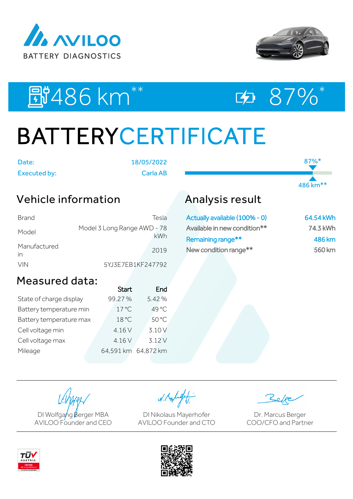



87%\*

486 km\*\*

# EU486 km<sup>\*\*</sup> E2 87%\*

# BATTERYCERTIFICATE

| Date:        |  |
|--------------|--|
| Executed by: |  |

Date: 18/05/2022 Executed by: Carla AB

### Vehicle information

| Brand              | Tesla                              |
|--------------------|------------------------------------|
| Model              | Model 3 Long Range AWD - 78<br>kWh |
| Manufactured<br>in | 2019                               |
| <b>VIN</b>         | 5YJ3E7EB1KF247792                  |

## Analysis result

| Actually available (100% - 0) | 64.54 kWh |
|-------------------------------|-----------|
| Available in new condition**  | 74.3 kWh  |
| Remaining range**             | 486 km    |
| New condition range**         | 560 km    |

### Measured data:

|                         | <b>Start</b>        | End   |
|-------------------------|---------------------|-------|
| State of charge display | 99.27%              | 5.42% |
| Battery temperature min | $17^{\circ}$ C      | 49 °C |
| Battery temperature max | 18 °C               | 50 °C |
| Cell voltage min        | 4.16 V              | 3.10V |
| Cell voltage max        | 4.16 V              | 3.12V |
| Mileage                 | 64,591 km 64,872 km |       |
|                         |                     |       |

DI Wolfgang Berger MBA AVILOO Founder and CEO

W. Kolight

DI Nikolaus Mayerhofer AVILOO Founder and CTO

Dr. Marcus Berger COO/CFO and Partner